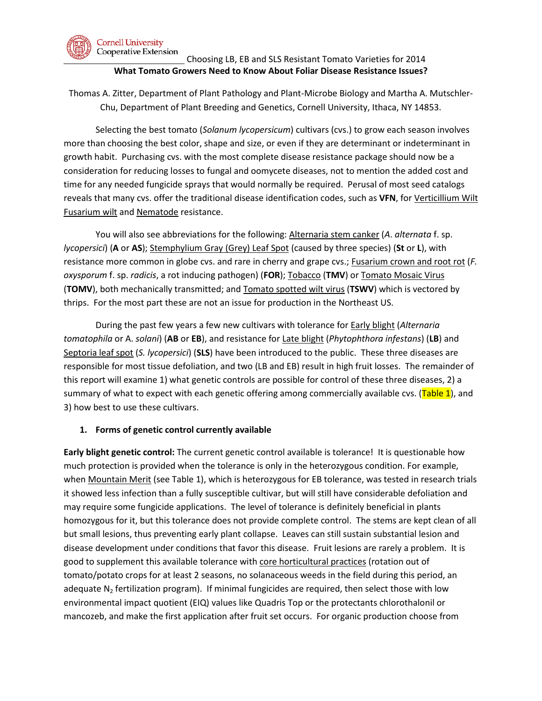

### Choosing LB, EB and SLS Resistant Tomato Varieties for 2014 **What Tomato Growers Need to Know About Foliar Disease Resistance Issues?**

Thomas A. Zitter, Department of Plant Pathology and Plant-Microbe Biology and Martha A. Mutschler-Chu, Department of Plant Breeding and Genetics, Cornell University, Ithaca, NY 14853.

Selecting the best tomato (*Solanum lycopersicum*) cultivars (cvs.) to grow each season involves more than choosing the best color, shape and size, or even if they are determinant or indeterminant in growth habit. Purchasing cvs. with the most complete disease resistance package should now be a consideration for reducing losses to fungal and oomycete diseases, not to mention the added cost and time for any needed fungicide sprays that would normally be required. Perusal of most seed catalogs reveals that many cvs. offer the traditional disease identification codes, such as **VFN**, for Verticillium Wilt Fusarium wilt and Nematode resistance.

You will also see abbreviations for the following: Alternaria stem canker (*A*. *alternata* f. sp. *lycopersici*) (**A** or **AS**); Stemphylium Gray (Grey) Leaf Spot (caused by three species) (**St** or **L**), with resistance more common in globe cvs. and rare in cherry and grape cvs.; Fusarium crown and root rot (*F. oxysporum* f. sp. *radicis*, a rot inducing pathogen) (**FOR**); Tobacco (**TMV**) or Tomato Mosaic Virus (**TOMV**), both mechanically transmitted; and Tomato spotted wilt virus (**TSWV**) which is vectored by thrips. For the most part these are not an issue for production in the Northeast US.

During the past few years a few new cultivars with tolerance for Early blight (*Alternaria tomatophila* or A. *solani*) (**AB** or **EB**), and resistance for Late blight (*Phytophthora infestans*) (**LB**) and Septoria leaf spot (*S. lycopersici*) (**SLS**) have been introduced to the public. These three diseases are responsible for most tissue defoliation, and two (LB and EB) result in high fruit losses. The remainder of this report will examine 1) what genetic controls are possible for control of these three diseases, 2) a summary of what to expect with each genetic offering among commercially available cvs. (Table 1), and 3) how best to use these cultivars.

### **1. Forms of genetic control currently available**

**Early blight genetic control:** The current genetic control available is tolerance! It is questionable how much protection is provided when the tolerance is only in the heterozygous condition. For example, when Mountain Merit (see Table 1), which is heterozygous for EB tolerance, was tested in research trials it showed less infection than a fully susceptible cultivar, but will still have considerable defoliation and may require some fungicide applications. The level of tolerance is definitely beneficial in plants homozygous for it, but this tolerance does not provide complete control. The stems are kept clean of all but small lesions, thus preventing early plant collapse. Leaves can still sustain substantial lesion and disease development under conditions that favor this disease. Fruit lesions are rarely a problem. It is good to supplement this available tolerance with core horticultural practices (rotation out of tomato/potato crops for at least 2 seasons, no solanaceous weeds in the field during this period, an adequate  $N_2$  fertilization program). If minimal fungicides are required, then select those with low environmental impact quotient (EIQ) values like Quadris Top or the protectants chlorothalonil or mancozeb, and make the first application after fruit set occurs. For organic production choose from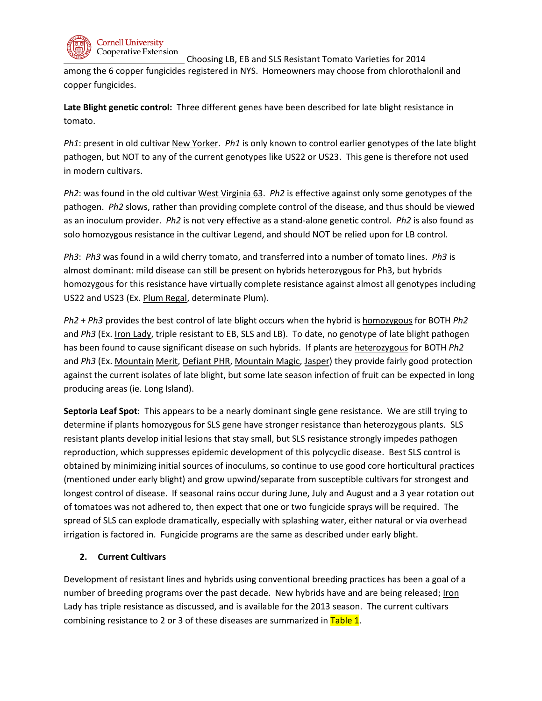

**Cornell University** Cooperative Extension

Choosing LB, EB and SLS Resistant Tomato Varieties for 2014

among the 6 copper fungicides registered in NYS. Homeowners may choose from chlorothalonil and copper fungicides.

**Late Blight genetic control:** Three different genes have been described for late blight resistance in tomato.

*Ph1*: present in old cultivar New Yorker. *Ph1* is only known to control earlier genotypes of the late blight pathogen, but NOT to any of the current genotypes like US22 or US23. This gene is therefore not used in modern cultivars.

*Ph2*: was found in the old cultivar West Virginia 63. *Ph2* is effective against only some genotypes of the pathogen. *Ph2* slows, rather than providing complete control of the disease, and thus should be viewed as an inoculum provider. *Ph2* is not very effective as a stand-alone genetic control. *Ph2* is also found as solo homozygous resistance in the cultivar Legend, and should NOT be relied upon for LB control.

*Ph3*: *Ph3* was found in a wild cherry tomato, and transferred into a number of tomato lines. *Ph3* is almost dominant: mild disease can still be present on hybrids heterozygous for Ph3, but hybrids homozygous for this resistance have virtually complete resistance against almost all genotypes including US22 and US23 (Ex. Plum Regal, determinate Plum).

*Ph2* + *Ph3* provides the best control of late blight occurs when the hybrid is homozygous for BOTH *Ph2* and *Ph3* (Ex. Iron Lady, triple resistant to EB, SLS and LB). To date, no genotype of late blight pathogen has been found to cause significant disease on such hybrids. If plants are heterozygous for BOTH *Ph2* and *Ph3* (Ex. Mountain Merit, Defiant PHR, Mountain Magic, Jasper) they provide fairly good protection against the current isolates of late blight, but some late season infection of fruit can be expected in long producing areas (ie. Long Island).

**Septoria Leaf Spot**: This appears to be a nearly dominant single gene resistance. We are still trying to determine if plants homozygous for SLS gene have stronger resistance than heterozygous plants. SLS resistant plants develop initial lesions that stay small, but SLS resistance strongly impedes pathogen reproduction, which suppresses epidemic development of this polycyclic disease. Best SLS control is obtained by minimizing initial sources of inoculums, so continue to use good core horticultural practices (mentioned under early blight) and grow upwind/separate from susceptible cultivars for strongest and longest control of disease. If seasonal rains occur during June, July and August and a 3 year rotation out of tomatoes was not adhered to, then expect that one or two fungicide sprays will be required. The spread of SLS can explode dramatically, especially with splashing water, either natural or via overhead irrigation is factored in. Fungicide programs are the same as described under early blight.

# **2. Current Cultivars**

Development of resistant lines and hybrids using conventional breeding practices has been a goal of a number of breeding programs over the past decade. New hybrids have and are being released; Iron Lady has triple resistance as discussed, and is available for the 2013 season. The current cultivars combining resistance to 2 or 3 of these diseases are summarized in  $Table 1$ .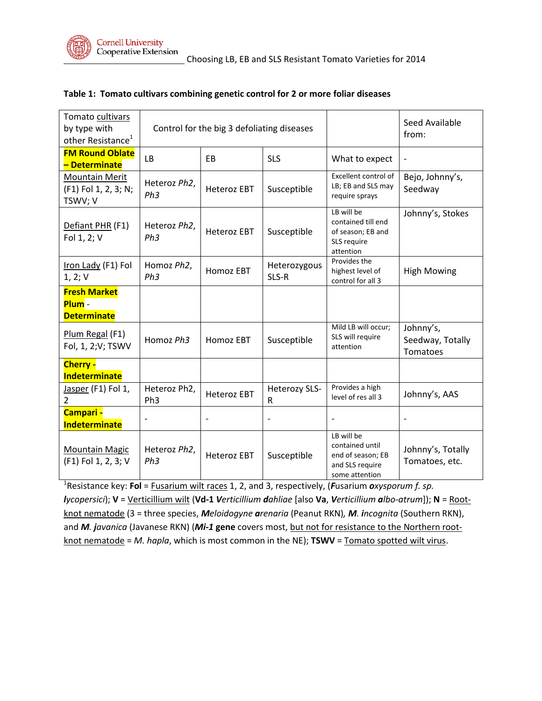

| Tomato cultivars<br>by type with<br>other Resistance <sup>1</sup> | Control for the big 3 defoliating diseases |                    |                           |                                                                                         | Seed Available<br>from:                   |
|-------------------------------------------------------------------|--------------------------------------------|--------------------|---------------------------|-----------------------------------------------------------------------------------------|-------------------------------------------|
| <b>FM Round Oblate</b><br>– Determinate                           | <b>LB</b>                                  | F <sub>B</sub>     | <b>SLS</b>                | What to expect                                                                          |                                           |
| <b>Mountain Merit</b><br>(F1) Fol 1, 2, 3; N;<br>TSWV; V          | Heteroz Ph2,<br>Ph3                        | <b>Heteroz EBT</b> | Susceptible               | Excellent control of<br>LB; EB and SLS may<br>require sprays                            | Bejo, Johnny's,<br>Seedway                |
| Defiant PHR (F1)<br>Fol 1, 2; V                                   | Heteroz Ph2,<br>Ph3                        | <b>Heteroz EBT</b> | Susceptible               | LB will be<br>contained till end<br>of season; EB and<br>SLS require<br>attention       | Johnny's, Stokes                          |
| Iron Lady (F1) Fol<br>1, 2; V                                     | Homoz Ph2,<br>Ph3                          | Homoz EBT          | Heterozygous<br>SLS-R     | Provides the<br>highest level of<br>control for all 3                                   | <b>High Mowing</b>                        |
| <b>Fresh Market</b><br>Plum-<br><b>Determinate</b>                |                                            |                    |                           |                                                                                         |                                           |
| Plum Regal (F1)<br>Fol, 1, 2; V; TSWV                             | Homoz Ph3                                  | Homoz EBT          | Susceptible               | Mild LB will occur;<br>SLS will require<br>attention                                    | Johnny's,<br>Seedway, Totally<br>Tomatoes |
| Cherry -<br><b>Indeterminate</b>                                  |                                            |                    |                           |                                                                                         |                                           |
| Jasper (F1) Fol 1,<br>2                                           | Heteroz Ph2,<br>Ph <sub>3</sub>            | <b>Heteroz EBT</b> | <b>Heterozy SLS-</b><br>R | Provides a high<br>level of res all 3                                                   | Johnny's, AAS                             |
| Campari -<br><b>Indeterminate</b>                                 |                                            |                    |                           | $\overline{\phantom{a}}$                                                                |                                           |
| <b>Mountain Magic</b><br>(F1) Fol 1, 2, 3; V                      | Heteroz Ph2,<br>Ph3                        | <b>Heteroz EBT</b> | Susceptible               | LB will be<br>contained until<br>end of season; EB<br>and SLS require<br>some attention | Johnny's, Totally<br>Tomatoes, etc.       |

## **Table 1: Tomato cultivars combining genetic control for 2 or more foliar diseases**

1 Resistance key: **Fol** = Fusarium wilt races 1, 2, and 3, respectively, (*F*usarium *oxysporum f. sp. lycopersici*); **V** = Verticillium wilt (**Vd-1** *Verticillium dahliae* [also **Va**, *Verticillium albo-atrum*]); **N** = Rootknot nematode (3 = three species, *Meloidogyne arenaria* (Peanut RKN)*, M. incognita* (Southern RKN), and *M. javanica* (Javanese RKN) (*Mi-1* gene covers most, but not for resistance to the Northern rootknot nematode = *M. hapla*, which is most common in the NE); **TSWV** = Tomato spotted wilt virus.